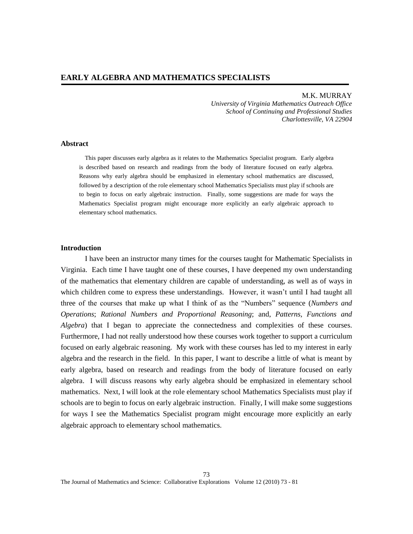*University of Virginia Mathematics Outreach Office School of Continuing and Professional Studies Charlottesville, VA 22904*

#### **Abstract**

This paper discusses early algebra as it relates to the Mathematics Specialist program. Early algebra is described based on research and readings from the body of literature focused on early algebra. Reasons why early algebra should be emphasized in elementary school mathematics are discussed, followed by a description of the role elementary school Mathematics Specialists must play if schools are to begin to focus on early algebraic instruction. Finally, some suggestions are made for ways the Mathematics Specialist program might encourage more explicitly an early algebraic approach to elementary school mathematics.

### **Introduction**

I have been an instructor many times for the courses taught for Mathematic Specialists in Virginia. Each time I have taught one of these courses, I have deepened my own understanding of the mathematics that elementary children are capable of understanding, as well as of ways in which children come to express these understandings. However, it wasn't until I had taught all three of the courses that make up what I think of as the "Numbers" sequence (*Numbers and Operations*; *Rational Numbers and Proportional Reasoning*; and, *Patterns, Functions and Algebra*) that I began to appreciate the connectedness and complexities of these courses. Furthermore, I had not really understood how these courses work together to support a curriculum focused on early algebraic reasoning. My work with these courses has led to my interest in early algebra and the research in the field. In this paper, I want to describe a little of what is meant by early algebra, based on research and readings from the body of literature focused on early algebra. I will discuss reasons why early algebra should be emphasized in elementary school mathematics. Next, I will look at the role elementary school Mathematics Specialists must play if schools are to begin to focus on early algebraic instruction. Finally, I will make some suggestions for ways I see the Mathematics Specialist program might encourage more explicitly an early algebraic approach to elementary school mathematics.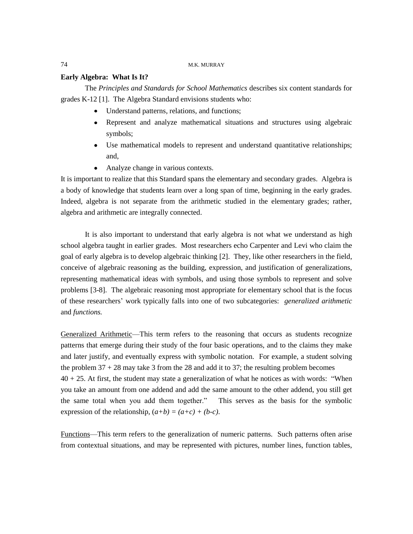## **Early Algebra: What Is It?**

The *Principles and Standards for School Mathematics* describes six content standards for grades K-12 [1]. The Algebra Standard envisions students who:

- Understand patterns, relations, and functions;
- Represent and analyze mathematical situations and structures using algebraic symbols;
- Use mathematical models to represent and understand quantitative relationships; and,
- Analyze change in various contexts.

It is important to realize that this Standard spans the elementary and secondary grades. Algebra is a body of knowledge that students learn over a long span of time, beginning in the early grades. Indeed, algebra is not separate from the arithmetic studied in the elementary grades; rather, algebra and arithmetic are integrally connected.

It is also important to understand that early algebra is not what we understand as high school algebra taught in earlier grades. Most researchers echo Carpenter and Levi who claim the goal of early algebra is to develop algebraic thinking [2]. They, like other researchers in the field, conceive of algebraic reasoning as the building, expression, and justification of generalizations, representing mathematical ideas with symbols, and using those symbols to represent and solve problems [3-8]. The algebraic reasoning most appropriate for elementary school that is the focus of these researchers' work typically falls into one of two subcategories: *generalized arithmetic* and *functions.* 

Generalized Arithmetic—This term refers to the reasoning that occurs as students recognize patterns that emerge during their study of the four basic operations, and to the claims they make and later justify, and eventually express with symbolic notation. For example, a student solving the problem  $37 + 28$  may take 3 from the 28 and add it to 37; the resulting problem becomes  $40 + 25$ . At first, the student may state a generalization of what he notices as with words: "When you take an amount from one addend and add the same amount to the other addend, you still get the same total when you add them together." This serves as the basis for the symbolic expression of the relationship,  $(a+b) = (a+c) + (b-c)$ .

Functions—This term refers to the generalization of numeric patterns. Such patterns often arise from contextual situations, and may be represented with pictures, number lines, function tables,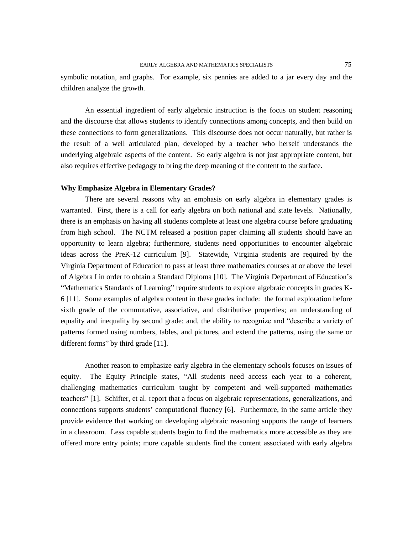symbolic notation, and graphs. For example, six pennies are added to a jar every day and the children analyze the growth.

An essential ingredient of early algebraic instruction is the focus on student reasoning and the discourse that allows students to identify connections among concepts, and then build on these connections to form generalizations. This discourse does not occur naturally, but rather is the result of a well articulated plan, developed by a teacher who herself understands the underlying algebraic aspects of the content. So early algebra is not just appropriate content, but also requires effective pedagogy to bring the deep meaning of the content to the surface.

#### **Why Emphasize Algebra in Elementary Grades?**

There are several reasons why an emphasis on early algebra in elementary grades is warranted. First, there is a call for early algebra on both national and state levels. Nationally, there is an emphasis on having all students complete at least one algebra course before graduating from high school. The NCTM released a position paper claiming all students should have an opportunity to learn algebra; furthermore, students need opportunities to encounter algebraic ideas across the PreK-12 curriculum [9]. Statewide, Virginia students are required by the Virginia Department of Education to pass at least three mathematics courses at or above the level of Algebra I in order to obtain a Standard Diploma [10]. The Virginia Department of Education's ―Mathematics Standards of Learning‖ require students to explore algebraic concepts in grades K-6 [11]. Some examples of algebra content in these grades include: the formal exploration before sixth grade of the commutative, associative, and distributive properties; an understanding of equality and inequality by second grade; and, the ability to recognize and "describe a variety of patterns formed using numbers, tables, and pictures, and extend the patterns, using the same or different forms" by third grade  $[11]$ .

Another reason to emphasize early algebra in the elementary schools focuses on issues of equity. The Equity Principle states, "All students need access each year to a coherent, challenging mathematics curriculum taught by competent and well-supported mathematics teachers‖ [1]. Schifter, et al. report that a focus on algebraic representations, generalizations, and connections supports students' computational fluency [6]. Furthermore, in the same article they provide evidence that working on developing algebraic reasoning supports the range of learners in a classroom. Less capable students begin to find the mathematics more accessible as they are offered more entry points; more capable students find the content associated with early algebra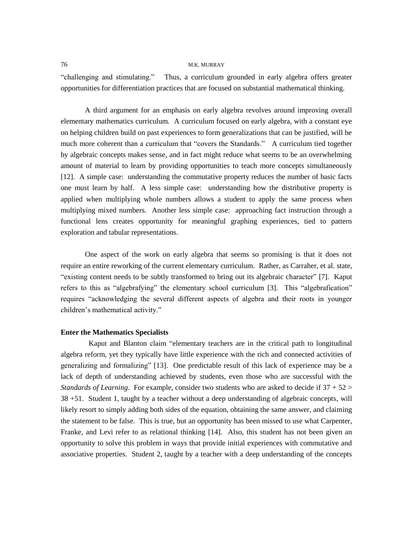―challenging and stimulating.‖ Thus, a curriculum grounded in early algebra offers greater opportunities for differentiation practices that are focused on substantial mathematical thinking.

A third argument for an emphasis on early algebra revolves around improving overall elementary mathematics curriculum. A curriculum focused on early algebra, with a constant eye on helping children build on past experiences to form generalizations that can be justified, will be much more coherent than a curriculum that "covers the Standards." A curriculum tied together by algebraic concepts makes sense, and in fact might reduce what seems to be an overwhelming amount of material to learn by providing opportunities to teach more concepts simultaneously [12]. A simple case: understanding the commutative property reduces the number of basic facts one must learn by half. A less simple case: understanding how the distributive property is applied when multiplying whole numbers allows a student to apply the same process when multiplying mixed numbers. Another less simple case: approaching fact instruction through a functional lens creates opportunity for meaningful graphing experiences, tied to pattern exploration and tabular representations.

One aspect of the work on early algebra that seems so promising is that it does not require an entire reworking of the current elementary curriculum. Rather, as Carraher, et al. state, "existing content needs to be subtly transformed to bring out its algebraic character" [7]. Kaput refers to this as "algebrafying" the elementary school curriculum [3]. This "algebrafication" requires "acknowledging the several different aspects of algebra and their roots in younger children's mathematical activity."

## **Enter the Mathematics Specialists**

Kaput and Blanton claim "elementary teachers are in the critical path to longitudinal algebra reform, yet they typically have little experience with the rich and connected activities of generalizing and formalizing" [13]. One predictable result of this lack of experience may be a lack of depth of understanding achieved by students, even those who are successful with the *Standards of Learning*. For example, consider two students who are asked to decide if 37 + 52 > 38 +51. Student 1, taught by a teacher without a deep understanding of algebraic concepts, will likely resort to simply adding both sides of the equation, obtaining the same answer, and claiming the statement to be false. This is true, but an opportunity has been missed to use what Carpenter, Franke, and Levi refer to as relational thinking [14]. Also, this student has not been given an opportunity to solve this problem in ways that provide initial experiences with commutative and associative properties. Student 2, taught by a teacher with a deep understanding of the concepts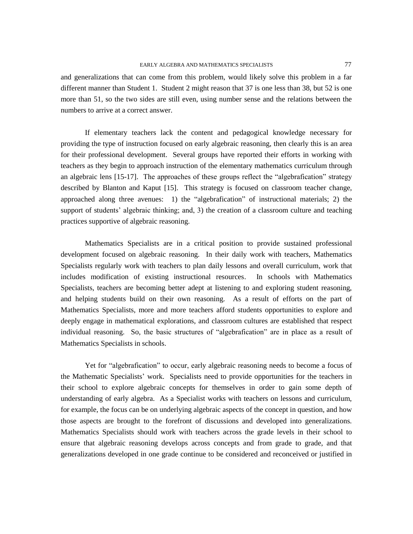and generalizations that can come from this problem, would likely solve this problem in a far different manner than Student 1. Student 2 might reason that 37 is one less than 38, but 52 is one more than 51, so the two sides are still even, using number sense and the relations between the numbers to arrive at a correct answer.

If elementary teachers lack the content and pedagogical knowledge necessary for providing the type of instruction focused on early algebraic reasoning, then clearly this is an area for their professional development. Several groups have reported their efforts in working with teachers as they begin to approach instruction of the elementary mathematics curriculum through an algebraic lens [15-17]. The approaches of these groups reflect the "algebrafication" strategy described by Blanton and Kaput [15]. This strategy is focused on classroom teacher change, approached along three avenues: 1) the  $"algebraification"$  of instructional materials; 2) the support of students' algebraic thinking; and, 3) the creation of a classroom culture and teaching practices supportive of algebraic reasoning.

Mathematics Specialists are in a critical position to provide sustained professional development focused on algebraic reasoning. In their daily work with teachers, Mathematics Specialists regularly work with teachers to plan daily lessons and overall curriculum, work that includes modification of existing instructional resources. In schools with Mathematics Specialists, teachers are becoming better adept at listening to and exploring student reasoning, and helping students build on their own reasoning. As a result of efforts on the part of Mathematics Specialists, more and more teachers afford students opportunities to explore and deeply engage in mathematical explorations, and classroom cultures are established that respect individual reasoning. So, the basic structures of "algebrafication" are in place as a result of Mathematics Specialists in schools.

Yet for "algebrafication" to occur, early algebraic reasoning needs to become a focus of the Mathematic Specialists' work. Specialists need to provide opportunities for the teachers in their school to explore algebraic concepts for themselves in order to gain some depth of understanding of early algebra. As a Specialist works with teachers on lessons and curriculum, for example, the focus can be on underlying algebraic aspects of the concept in question, and how those aspects are brought to the forefront of discussions and developed into generalizations. Mathematics Specialists should work with teachers across the grade levels in their school to ensure that algebraic reasoning develops across concepts and from grade to grade, and that generalizations developed in one grade continue to be considered and reconceived or justified in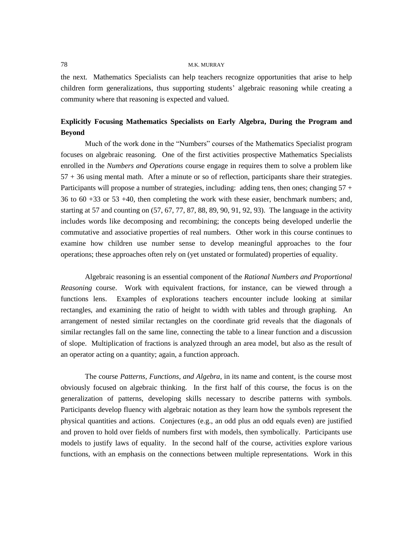the next. Mathematics Specialists can help teachers recognize opportunities that arise to help children form generalizations, thus supporting students' algebraic reasoning while creating a community where that reasoning is expected and valued.

# **Explicitly Focusing Mathematics Specialists on Early Algebra, During the Program and Beyond**

Much of the work done in the "Numbers" courses of the Mathematics Specialist program focuses on algebraic reasoning. One of the first activities prospective Mathematics Specialists enrolled in the *Numbers and Operations* course engage in requires them to solve a problem like 57 + 36 using mental math. After a minute or so of reflection, participants share their strategies. Participants will propose a number of strategies, including: adding tens, then ones; changing 57 + 36 to 60 +33 or 53 +40, then completing the work with these easier, benchmark numbers; and, starting at 57 and counting on  $(57, 67, 77, 87, 88, 89, 90, 91, 92, 93)$ . The language in the activity includes words like decomposing and recombining; the concepts being developed underlie the commutative and associative properties of real numbers. Other work in this course continues to examine how children use number sense to develop meaningful approaches to the four operations; these approaches often rely on (yet unstated or formulated) properties of equality.

Algebraic reasoning is an essential component of the *Rational Numbers and Proportional Reasoning* course. Work with equivalent fractions, for instance, can be viewed through a functions lens. Examples of explorations teachers encounter include looking at similar rectangles, and examining the ratio of height to width with tables and through graphing. An arrangement of nested similar rectangles on the coordinate grid reveals that the diagonals of similar rectangles fall on the same line, connecting the table to a linear function and a discussion of slope. Multiplication of fractions is analyzed through an area model, but also as the result of an operator acting on a quantity; again, a function approach.

The course *Patterns, Functions, and Algebra*, in its name and content, is the course most obviously focused on algebraic thinking. In the first half of this course, the focus is on the generalization of patterns, developing skills necessary to describe patterns with symbols. Participants develop fluency with algebraic notation as they learn how the symbols represent the physical quantities and actions. Conjectures (e.g., an odd plus an odd equals even) are justified and proven to hold over fields of numbers first with models, then symbolically. Participants use models to justify laws of equality. In the second half of the course, activities explore various functions, with an emphasis on the connections between multiple representations. Work in this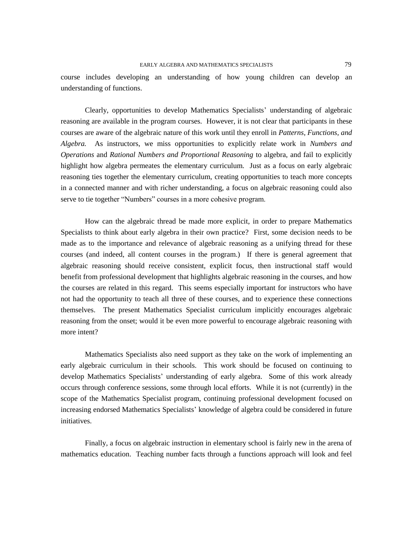course includes developing an understanding of how young children can develop an understanding of functions.

Clearly, opportunities to develop Mathematics Specialists' understanding of algebraic reasoning are available in the program courses. However, it is not clear that participants in these courses are aware of the algebraic nature of this work until they enroll in *Patterns, Functions, and Algebra.* As instructors, we miss opportunities to explicitly relate work in *Numbers and Operations* and *Rational Numbers and Proportional Reasoning* to algebra, and fail to explicitly highlight how algebra permeates the elementary curriculum. Just as a focus on early algebraic reasoning ties together the elementary curriculum, creating opportunities to teach more concepts in a connected manner and with richer understanding, a focus on algebraic reasoning could also serve to tie together "Numbers" courses in a more cohesive program.

How can the algebraic thread be made more explicit, in order to prepare Mathematics Specialists to think about early algebra in their own practice? First, some decision needs to be made as to the importance and relevance of algebraic reasoning as a unifying thread for these courses (and indeed, all content courses in the program.) If there is general agreement that algebraic reasoning should receive consistent, explicit focus, then instructional staff would benefit from professional development that highlights algebraic reasoning in the courses, and how the courses are related in this regard. This seems especially important for instructors who have not had the opportunity to teach all three of these courses, and to experience these connections themselves. The present Mathematics Specialist curriculum implicitly encourages algebraic reasoning from the onset; would it be even more powerful to encourage algebraic reasoning with more intent?

Mathematics Specialists also need support as they take on the work of implementing an early algebraic curriculum in their schools. This work should be focused on continuing to develop Mathematics Specialists' understanding of early algebra. Some of this work already occurs through conference sessions, some through local efforts. While it is not (currently) in the scope of the Mathematics Specialist program, continuing professional development focused on increasing endorsed Mathematics Specialists' knowledge of algebra could be considered in future initiatives.

Finally, a focus on algebraic instruction in elementary school is fairly new in the arena of mathematics education. Teaching number facts through a functions approach will look and feel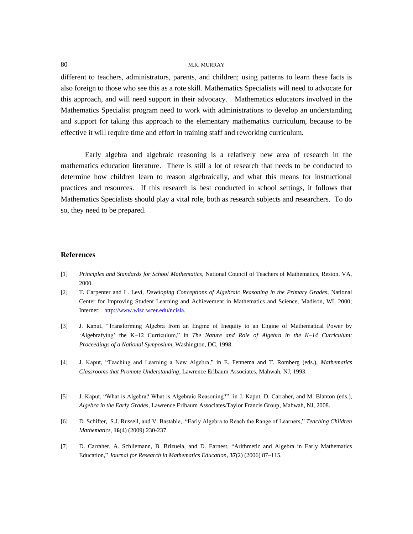different to teachers, administrators, parents, and children; using patterns to learn these facts is also foreign to those who see this as a rote skill. Mathematics Specialists will need to advocate for this approach, and will need support in their advocacy. Mathematics educators involved in the Mathematics Specialist program need to work with administrations to develop an understanding and support for taking this approach to the elementary mathematics curriculum, because to be effective it will require time and effort in training staff and reworking curriculum.

Early algebra and algebraic reasoning is a relatively new area of research in the mathematics education literature. There is still a lot of research that needs to be conducted to determine how children learn to reason algebraically, and what this means for instructional practices and resources. If this research is best conducted in school settings, it follows that Mathematics Specialists should play a vital role, both as research subjects and researchers. To do so, they need to be prepared.

#### **References**

- [1] *Principles and Standards for School Mathematics*, National Council of Teachers of Mathematics, Reston, VA, 2000.
- [2] T. Carpenter and L. Levi, *Developing Conceptions of Algebraic Reasoning in the Primary Grades*, National Center for Improving Student Learning and Achievement in Mathematics and Science, Madison, WI, 2000; Internet: [http://www.wisc.wcer.edu/ncisla.](http://www.wisc.wcer.edu/ncisla)
- [3] J. Kaput, "Transforming Algebra from an Engine of Inequity to an Engine of Mathematical Power by ‗Algebrafying' the K–12 Curriculum,‖ in *The Nature and Role of Algebra in the K–14 Curriculum: Proceedings of a National Symposium*, Washington, DC, 1998.
- [4] J. Kaput, ―Teaching and Learning a New Algebra,‖ in E. Fennema and T. Romberg (eds.), *Mathematics Classrooms that Promote Understanding*, Lawrence Erlbaum Associates, Mahwah, NJ, 1993.
- [5] J. Kaput, "What is Algebra? What is Algebraic Reasoning?" in J. Kaput, D. Carraher, and M. Blanton (eds.), *Algebra in the Early Grades*, Lawrence Erlbaum Associates/Taylor Francis Group, Mahwah, NJ, 2008.
- [6] D. Schifter, S.J. Russell, and V. Bastable, "Early Algebra to Reach the Range of Learners," *Teaching Children Mathematics*, **16**(4) (2009) 230-237.
- [7] D. Carraher, A. Schliemann, B. Brizuela, and D. Earnest, "Arithmetic and Algebra in Early Mathematics Education,‖ *Journal for Research in Mathematics Education*, **37**(2) (2006) 87–115.